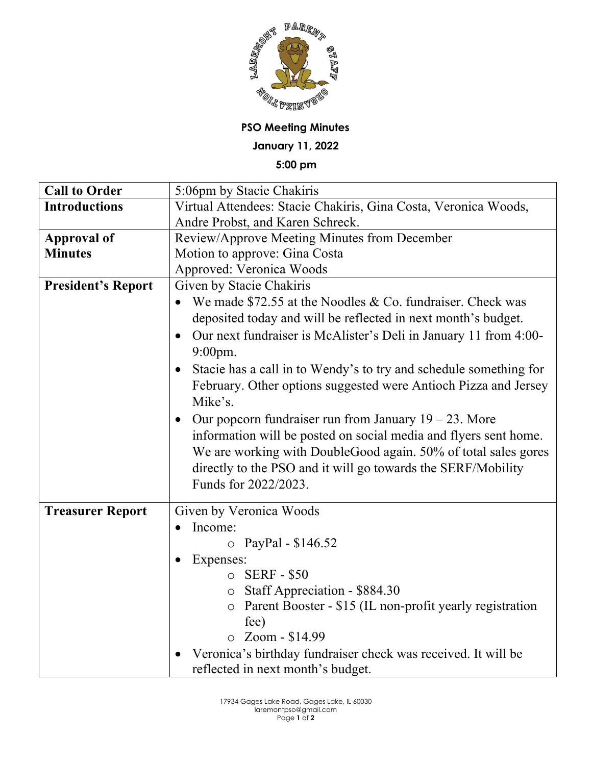

**PSO Meeting Minutes**

**January 11, 2022**

**5:00 pm**

| <b>Call to Order</b>      | 5:06pm by Stacie Chakiris                                                      |
|---------------------------|--------------------------------------------------------------------------------|
| <b>Introductions</b>      | Virtual Attendees: Stacie Chakiris, Gina Costa, Veronica Woods,                |
|                           | Andre Probst, and Karen Schreck.                                               |
| <b>Approval of</b>        | Review/Approve Meeting Minutes from December                                   |
| <b>Minutes</b>            | Motion to approve: Gina Costa                                                  |
|                           | Approved: Veronica Woods                                                       |
| <b>President's Report</b> | Given by Stacie Chakiris                                                       |
|                           | We made $$72.55$ at the Noodles & Co. fundraiser. Check was                    |
|                           | deposited today and will be reflected in next month's budget.                  |
|                           | Our next fundraiser is McAlister's Deli in January 11 from 4:00-<br>$\bullet$  |
|                           | 9:00pm.                                                                        |
|                           | Stacie has a call in to Wendy's to try and schedule something for<br>$\bullet$ |
|                           | February. Other options suggested were Antioch Pizza and Jersey                |
|                           | Mike's.                                                                        |
|                           | Our popcorn fundraiser run from January $19 - 23$ . More                       |
|                           | information will be posted on social media and flyers sent home.               |
|                           | We are working with DoubleGood again. 50% of total sales gores                 |
|                           | directly to the PSO and it will go towards the SERF/Mobility                   |
|                           | Funds for 2022/2023.                                                           |
|                           |                                                                                |
| <b>Treasurer Report</b>   | Given by Veronica Woods                                                        |
|                           | Income:<br>$\bullet$                                                           |
|                           | $\circ$ PayPal - \$146.52                                                      |
|                           | Expenses:                                                                      |
|                           | $\circ$ SERF - \$50                                                            |
|                           | $\circ$ Staff Appreciation - \$884.30                                          |
|                           | Parent Booster - \$15 (IL non-profit yearly registration                       |
|                           | fee)                                                                           |
|                           | $\circ$ Zoom - \$14.99                                                         |
|                           | Veronica's birthday fundraiser check was received. It will be                  |
|                           | reflected in next month's budget.                                              |